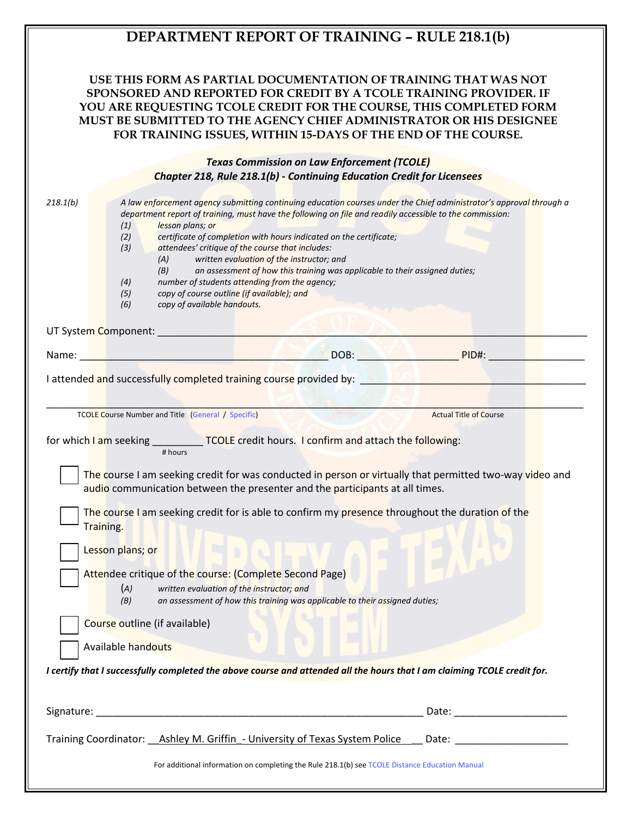## **DEPARTMENT REPORT OF TRAINING – RULE 218.1(b)**

## **USE THIS FORM AS PARTIAL DOCUMENTATION OF TRAINING THAT WAS NOT SPONSORED AND REPORTED FOR CREDIT BY A TCOLE TRAINING PROVIDER. IF YOU ARE REQUESTING TCOLE CREDIT FOR THE COURSE, THIS COMPLETED FORM MUST BE SUBMITTED TO THE AGENCY CHIEF ADMINISTRATOR OR HIS DESIGNEE FOR TRAINING ISSUES, WITHIN 15-DAYS OF THE END OF THE COURSE.**

| <b>Texas Commission on Law Enforcement (TCOLE)</b>                                                                                                                                                                                                                                                                                                                                                                                                                                                                                                                                                                                                                                                          |                                                                                                                |
|-------------------------------------------------------------------------------------------------------------------------------------------------------------------------------------------------------------------------------------------------------------------------------------------------------------------------------------------------------------------------------------------------------------------------------------------------------------------------------------------------------------------------------------------------------------------------------------------------------------------------------------------------------------------------------------------------------------|----------------------------------------------------------------------------------------------------------------|
| <b>Chapter 218, Rule 218.1(b) - Continuing Education Credit for Licensees</b>                                                                                                                                                                                                                                                                                                                                                                                                                                                                                                                                                                                                                               |                                                                                                                |
| 218.1(b)<br>A law enforcement agency submitting continuing education courses under the Chief administrator's approval through a<br>department report of training, must have the following on file and readily accessible to the commission:<br>(1)<br>lesson plans; or<br>certificate of completion with hours indicated on the certificate;<br>(2)<br>(3)<br>attendees' critique of the course that includes:<br>written evaluation of the instructor; and<br>(A)<br>an assessment of how this training was applicable to their assigned duties;<br>(B)<br>number of students attending from the agency;<br>(4)<br>copy of course outline (if available); and<br>(5)<br>(6)<br>copy of available handouts. |                                                                                                                |
|                                                                                                                                                                                                                                                                                                                                                                                                                                                                                                                                                                                                                                                                                                             |                                                                                                                |
| DOB: PID#:<br>Name:<br><u> Here is a strong the Marija Marij</u>                                                                                                                                                                                                                                                                                                                                                                                                                                                                                                                                                                                                                                            |                                                                                                                |
| I attended and successfully completed training course provided by:                                                                                                                                                                                                                                                                                                                                                                                                                                                                                                                                                                                                                                          |                                                                                                                |
|                                                                                                                                                                                                                                                                                                                                                                                                                                                                                                                                                                                                                                                                                                             |                                                                                                                |
| TCOLE Course Number and Title (General / Specific)                                                                                                                                                                                                                                                                                                                                                                                                                                                                                                                                                                                                                                                          | <b>Actual Title of Course</b>                                                                                  |
| for which I am seeking ____________TCOLE credit hours. I confirm and attach the following:<br># hours<br>The course I am seeking credit for was conducted in person or virtually that permitted two-way video and<br>audio communication between the presenter and the participants at all times.<br>The course I am seeking credit for is able to confirm my presence throughout the duration of the                                                                                                                                                                                                                                                                                                       |                                                                                                                |
| Training.<br>5010<br>Lesson plans; or                                                                                                                                                                                                                                                                                                                                                                                                                                                                                                                                                                                                                                                                       |                                                                                                                |
| Attendee critique of the course: (Complete Second Page)<br>(A)<br>written evaluation of the instructor; and<br>an assessment of how this training was applicable to their assigned duties;<br>(B)                                                                                                                                                                                                                                                                                                                                                                                                                                                                                                           |                                                                                                                |
| Course outline (if available)                                                                                                                                                                                                                                                                                                                                                                                                                                                                                                                                                                                                                                                                               |                                                                                                                |
| Available handouts                                                                                                                                                                                                                                                                                                                                                                                                                                                                                                                                                                                                                                                                                          |                                                                                                                |
| I certify that I successfully completed the above course and attended all the hours that I am claiming TCOLE credit for.                                                                                                                                                                                                                                                                                                                                                                                                                                                                                                                                                                                    |                                                                                                                |
|                                                                                                                                                                                                                                                                                                                                                                                                                                                                                                                                                                                                                                                                                                             |                                                                                                                |
| Training Coordinator: Ashley M. Griffin - University of Texas System Police                                                                                                                                                                                                                                                                                                                                                                                                                                                                                                                                                                                                                                 | Date: Date: Date: Date: Date: Date: Date: Date: Date: Date: Date: Date: Date: Date: Date: Date: Date: Date: Da |
| For additional information on completing the Rule 218.1(b) see TCOLE Distance Education Manual                                                                                                                                                                                                                                                                                                                                                                                                                                                                                                                                                                                                              |                                                                                                                |